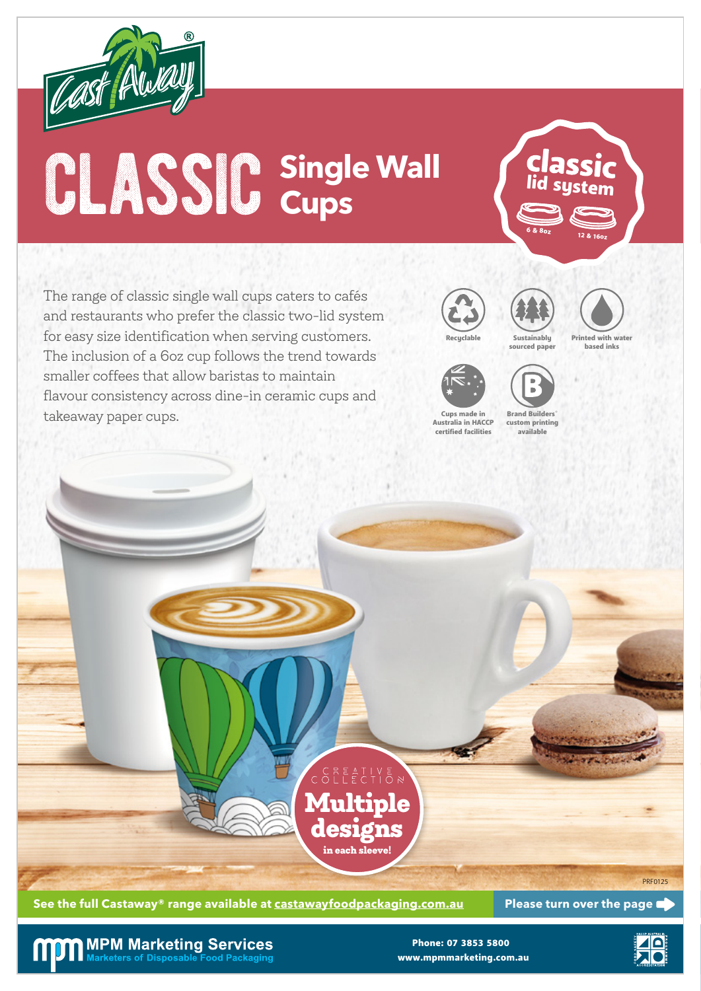

## **CLASSIC** Single Wall (Classic **Single Wall Cups**

The range of classic single wall cups caters to cafés and restaurants who prefer the classic two-lid system for easy size identification when serving customers. The inclusion of a 6oz cup follows the trend towards smaller coffees that allow baristas to maintain flavour consistency across dine-in ceramic cups and takeaway paper cups.





12 & 16oz 6 & 8oz



Printed with water based inks



Cups made in Australia in HACCP certified facilities

Brand Builders® custom printing available



See the full Castaway® range available at castawayfoodpackaging.com.au Please turn over the page

**MPM Marketing Services** arketers of Disposable Food Packaging

www.mpmmarketing.com.au Phone: 07 3853 5800